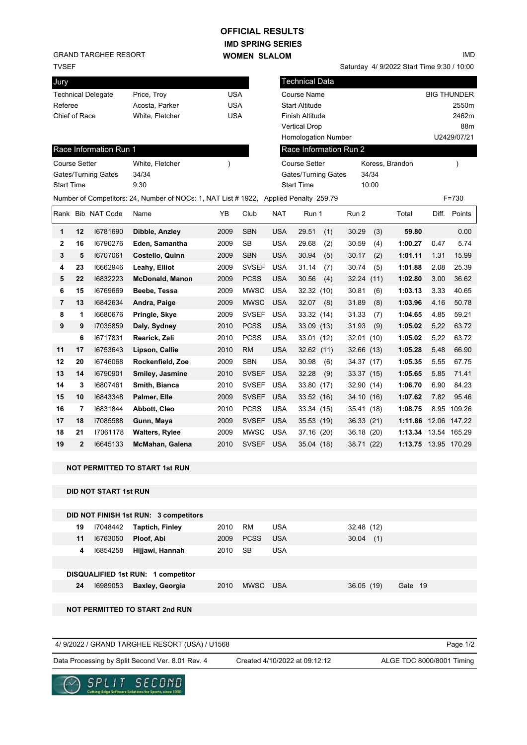## **IMD SPRING SERIES WOMEN SLALOM OFFICIAL RESULTS**

TVSEF GRAND TARGHEE RESORT

IMD

Saturday 4/ 9/2022 Start Time 9:30 / 10:00

| ا ∟ ب ا              |              |                              |                                                                                       |               |              |                   |                        |             |       |                      |       |                    |
|----------------------|--------------|------------------------------|---------------------------------------------------------------------------------------|---------------|--------------|-------------------|------------------------|-------------|-------|----------------------|-------|--------------------|
| Jury                 |              |                              |                                                                                       |               |              |                   | Technical Data         |             |       |                      |       |                    |
|                      |              | <b>Technical Delegate</b>    | Price, Troy                                                                           | USA           |              |                   | <b>Course Name</b>     |             |       |                      |       | <b>BIG THUNDER</b> |
| Referee              |              |                              | Acosta, Parker                                                                        | <b>USA</b>    |              |                   | <b>Start Altitude</b>  |             |       |                      |       | 2550m              |
| Chief of Race        |              |                              | White, Fletcher                                                                       | <b>USA</b>    |              |                   | Finish Altitude        |             |       |                      |       | 2462m              |
|                      |              |                              |                                                                                       |               |              |                   | <b>Vertical Drop</b>   |             |       |                      |       | 88m                |
|                      |              |                              |                                                                                       |               |              |                   | Homologation Number    |             |       |                      |       | U2429/07/21        |
|                      |              | Race Information Run 1       |                                                                                       |               |              |                   | Race Information Run 2 |             |       |                      |       |                    |
| <b>Course Setter</b> |              |                              | White, Fletcher                                                                       | $\mathcal{E}$ |              |                   | <b>Course Setter</b>   |             |       | Koress, Brandon      |       | $\lambda$          |
| Gates/Turning Gates  |              |                              | 34/34                                                                                 |               |              |                   | Gates/Turning Gates    |             | 34/34 |                      |       |                    |
| <b>Start Time</b>    |              |                              | 9:30                                                                                  |               |              | <b>Start Time</b> |                        | 10:00       |       |                      |       |                    |
|                      |              |                              | Number of Competitors: 24, Number of NOCs: 1, NAT List # 1922, Applied Penalty 259.79 |               |              |                   |                        |             |       |                      |       | $F = 730$          |
|                      |              | Rank Bib NAT Code            | Name                                                                                  | ΥB            | Club         | <b>NAT</b>        | Run 1                  | Run 2       |       | Total                | Diff. | Points             |
| 1                    | 12           | 16781690                     | Dibble, Anzley                                                                        | 2009          | <b>SBN</b>   | <b>USA</b>        | 29.51<br>(1)           | 30.29       | (3)   | 59.80                |       | 0.00               |
| 2                    | 16           | 16790276                     | Eden, Samantha                                                                        | 2009          | <b>SB</b>    | <b>USA</b>        | 29.68<br>(2)           | 30.59       | (4)   | 1:00.27              | 0.47  | 5.74               |
| 3                    | 5            | 16707061                     | Costello, Quinn                                                                       | 2009          | <b>SBN</b>   | <b>USA</b>        | 30.94<br>(5)           | 30.17       | (2)   | 1:01.11              | 1.31  | 15.99              |
| 4                    | 23           | 16662946                     | Leahy, Elliot                                                                         | 2009          | <b>SVSEF</b> | <b>USA</b>        | 31.14<br>(7)           | 30.74       | (5)   | 1:01.88              | 2.08  | 25.39              |
| 5                    | 22           | 16832223                     | <b>McDonald, Manon</b>                                                                | 2009          | <b>PCSS</b>  | <b>USA</b>        | 30.56<br>(4)           | 32.24 (11)  |       | 1:02.80              | 3.00  | 36.62              |
| 6                    | 15           | 16769669                     | Beebe, Tessa                                                                          | 2009          | <b>MWSC</b>  | <b>USA</b>        | 32.32 (10)             | 30.81       | (6)   | 1:03.13              | 3.33  | 40.65              |
| 7                    | 13           | 16842634                     | Andra, Paige                                                                          | 2009          | <b>MWSC</b>  | <b>USA</b>        | 32.07<br>(8)           | 31.89       | (8)   | 1:03.96              | 4.16  | 50.78              |
| 8                    | 1            | 16680676                     | Pringle, Skye                                                                         | 2009          | <b>SVSEF</b> | <b>USA</b>        | 33.32 (14)             | 31.33       | (7)   | 1:04.65              | 4.85  | 59.21              |
| 9                    | 9            | 17035859                     | Daly, Sydney                                                                          | 2010          | <b>PCSS</b>  | <b>USA</b>        | 33.09 (13)             | 31.93       | (9)   | 1:05.02              | 5.22  | 63.72              |
|                      | 6            | 16717831                     | Rearick, Zali                                                                         | 2010          | <b>PCSS</b>  | <b>USA</b>        | 33.01 (12)             | 32.01 (10)  |       | 1:05.02              | 5.22  | 63.72              |
| 11                   | 17           | 16753643                     | Lipson, Callie                                                                        | 2010          | <b>RM</b>    | <b>USA</b>        | 32.62(11)              | 32.66 (13)  |       | 1:05.28              | 5.48  | 66.90              |
| 12                   | 20           | 16746068                     | Rockenfield, Zoe                                                                      | 2009          | <b>SBN</b>   | USA               | 30.98<br>(6)           | 34.37 (17)  |       | 1:05.35              | 5.55  | 67.75              |
| 13                   | 14           | 16790901                     | Smiley, Jasmine                                                                       | 2010          | <b>SVSEF</b> | <b>USA</b>        | 32.28<br>(9)           | 33.37 (15)  |       | 1:05.65              | 5.85  | 71.41              |
| 14                   | 3            | 16807461                     | Smith, Bianca                                                                         | 2010          | <b>SVSEF</b> | <b>USA</b>        | 33.80 (17)             | 32.90 (14)  |       | 1:06.70              | 6.90  | 84.23              |
| 15                   | 10           | 16843348                     | Palmer, Elle                                                                          | 2009          | <b>SVSEF</b> | <b>USA</b>        | 33.52 (16)             | 34.10 (16)  |       | 1:07.62              | 7.82  | 95.46              |
| 16                   | 7            | 16831844                     | Abbott, Cleo                                                                          | 2010          | <b>PCSS</b>  | <b>USA</b>        | 33.34 (15)             | 35.41 (18)  |       | 1:08.75              |       | 8.95 109.26        |
| 17                   | 18           | I7085588                     | Gunn, Maya                                                                            | 2009          | <b>SVSEF</b> | <b>USA</b>        | 35.53 (19)             | 36.33(21)   |       | 1:11.86              |       | 12.06 147.22       |
| 18                   | 21           | 17061178                     | <b>Walters, Rylee</b>                                                                 | 2009          | <b>MWSC</b>  | <b>USA</b>        | 37.16 (20)             | 36.18 (20)  |       | 1:13.34              |       | 13.54 165.29       |
| 19                   | $\mathbf{2}$ | 16645133                     | <b>McMahan, Galena</b>                                                                | 2010          | SVSEF USA    |                   | 35.04 (18)             | 38.71 (22)  |       | 1:13.75 13.95 170.29 |       |                    |
|                      |              |                              |                                                                                       |               |              |                   |                        |             |       |                      |       |                    |
|                      |              |                              | <b>NOT PERMITTED TO START 1st RUN</b>                                                 |               |              |                   |                        |             |       |                      |       |                    |
|                      |              | <b>DID NOT START 1st RUN</b> |                                                                                       |               |              |                   |                        |             |       |                      |       |                    |
|                      |              |                              |                                                                                       |               |              |                   |                        |             |       |                      |       |                    |
|                      |              |                              | DID NOT FINISH 1st RUN: 3 competitors                                                 |               |              |                   |                        |             |       |                      |       |                    |
|                      | 19           | 17048442                     | <b>Taptich, Finley</b>                                                                | 2010          | <b>RM</b>    | <b>USA</b>        |                        | 32.48 (12)  |       |                      |       |                    |
|                      | 11           | 16763050                     | Ploof, Abi                                                                            | 2009          | <b>PCSS</b>  | <b>USA</b>        |                        | $30.04$ (1) |       |                      |       |                    |
|                      | 4            | 16854258                     | Hijjawi, Hannah                                                                       | 2010          | <b>SB</b>    | <b>USA</b>        |                        |             |       |                      |       |                    |
|                      |              |                              | DISQUALIFIED 1st RUN: 1 competitor                                                    |               |              |                   |                        |             |       |                      |       |                    |
|                      | 24           | 16989053                     | Baxley, Georgia                                                                       | 2010          | MWSC USA     |                   |                        | 36.05 (19)  |       | Gate 19              |       |                    |
|                      |              |                              |                                                                                       |               |              |                   |                        |             |       |                      |       |                    |
|                      |              |                              | <b>NOT PERMITTED TO START 2nd RUN</b>                                                 |               |              |                   |                        |             |       |                      |       |                    |
|                      |              |                              |                                                                                       |               |              |                   |                        |             |       |                      |       |                    |
|                      |              |                              |                                                                                       |               |              |                   |                        |             |       |                      |       |                    |
|                      |              |                              | 4/ 9/2022 / GRAND TARGHEE RESORT (USA) / U1568                                        |               |              |                   |                        |             |       |                      |       | Page 1/2           |

Data Processing by Split Second Ver. 8.01 Rev. 4 Created 4/10/2022 at 09:12:12 ALGE TDC 8000/8001 Timing Created 4/10/2022 at 09:12:12